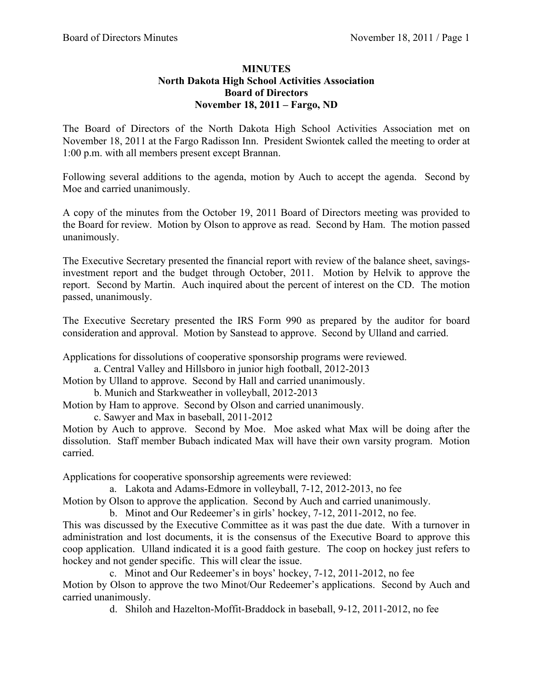## **MINUTES North Dakota High School Activities Association Board of Directors November 18, 2011 – Fargo, ND**

The Board of Directors of the North Dakota High School Activities Association met on November 18, 2011 at the Fargo Radisson Inn. President Swiontek called the meeting to order at 1:00 p.m. with all members present except Brannan.

Following several additions to the agenda, motion by Auch to accept the agenda. Second by Moe and carried unanimously.

A copy of the minutes from the October 19, 2011 Board of Directors meeting was provided to the Board for review. Motion by Olson to approve as read. Second by Ham. The motion passed unanimously.

The Executive Secretary presented the financial report with review of the balance sheet, savingsinvestment report and the budget through October, 2011. Motion by Helvik to approve the report. Second by Martin. Auch inquired about the percent of interest on the CD. The motion passed, unanimously.

The Executive Secretary presented the IRS Form 990 as prepared by the auditor for board consideration and approval. Motion by Sanstead to approve. Second by Ulland and carried.

Applications for dissolutions of cooperative sponsorship programs were reviewed.

a. Central Valley and Hillsboro in junior high football, 2012-2013

Motion by Ulland to approve. Second by Hall and carried unanimously.

b. Munich and Starkweather in volleyball, 2012-2013

Motion by Ham to approve. Second by Olson and carried unanimously.

c. Sawyer and Max in baseball, 2011-2012

Motion by Auch to approve. Second by Moe. Moe asked what Max will be doing after the dissolution. Staff member Bubach indicated Max will have their own varsity program. Motion carried.

Applications for cooperative sponsorship agreements were reviewed:

a. Lakota and Adams-Edmore in volleyball, 7-12, 2012-2013, no fee

Motion by Olson to approve the application. Second by Auch and carried unanimously.

b. Minot and Our Redeemer's in girls' hockey, 7-12, 2011-2012, no fee.

This was discussed by the Executive Committee as it was past the due date. With a turnover in administration and lost documents, it is the consensus of the Executive Board to approve this coop application. Ulland indicated it is a good faith gesture. The coop on hockey just refers to hockey and not gender specific. This will clear the issue.

c. Minot and Our Redeemer's in boys' hockey, 7-12, 2011-2012, no fee Motion by Olson to approve the two Minot/Our Redeemer's applications. Second by Auch and carried unanimously.

d. Shiloh and Hazelton-Moffit-Braddock in baseball, 9-12, 2011-2012, no fee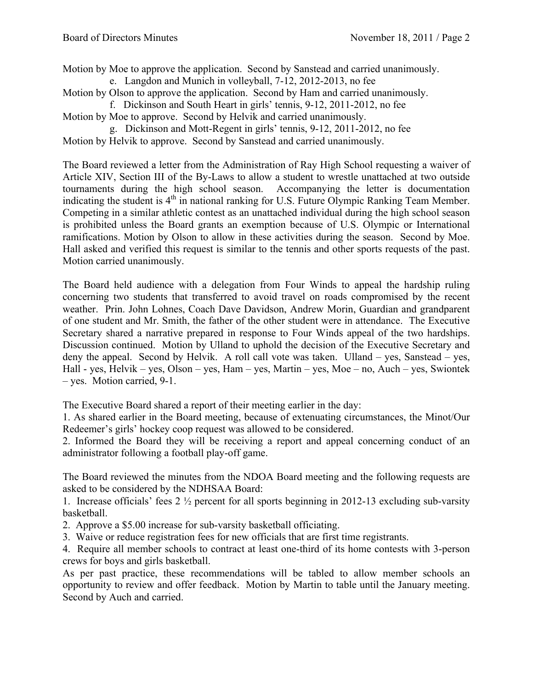Motion by Moe to approve the application. Second by Sanstead and carried unanimously.

e. Langdon and Munich in volleyball, 7-12, 2012-2013, no fee

Motion by Olson to approve the application. Second by Ham and carried unanimously.

f. Dickinson and South Heart in girls' tennis, 9-12, 2011-2012, no fee Motion by Moe to approve. Second by Helvik and carried unanimously.

g. Dickinson and Mott-Regent in girls' tennis, 9-12, 2011-2012, no fee Motion by Helvik to approve. Second by Sanstead and carried unanimously.

The Board reviewed a letter from the Administration of Ray High School requesting a waiver of Article XIV, Section III of the By-Laws to allow a student to wrestle unattached at two outside tournaments during the high school season. Accompanying the letter is documentation indicating the student is  $4<sup>th</sup>$  in national ranking for U.S. Future Olympic Ranking Team Member. Competing in a similar athletic contest as an unattached individual during the high school season is prohibited unless the Board grants an exemption because of U.S. Olympic or International ramifications. Motion by Olson to allow in these activities during the season. Second by Moe. Hall asked and verified this request is similar to the tennis and other sports requests of the past. Motion carried unanimously.

The Board held audience with a delegation from Four Winds to appeal the hardship ruling concerning two students that transferred to avoid travel on roads compromised by the recent weather. Prin. John Lohnes, Coach Dave Davidson, Andrew Morin, Guardian and grandparent of one student and Mr. Smith, the father of the other student were in attendance. The Executive Secretary shared a narrative prepared in response to Four Winds appeal of the two hardships. Discussion continued. Motion by Ulland to uphold the decision of the Executive Secretary and deny the appeal. Second by Helvik. A roll call vote was taken. Ulland – yes, Sanstead – yes, Hall - yes, Helvik – yes, Olson – yes, Ham – yes, Martin – yes, Moe – no, Auch – yes, Swiontek – yes. Motion carried, 9-1.

The Executive Board shared a report of their meeting earlier in the day:

1. As shared earlier in the Board meeting, because of extenuating circumstances, the Minot/Our Redeemer's girls' hockey coop request was allowed to be considered.

2. Informed the Board they will be receiving a report and appeal concerning conduct of an administrator following a football play-off game.

The Board reviewed the minutes from the NDOA Board meeting and the following requests are asked to be considered by the NDHSAA Board:

1. Increase officials' fees 2 ½ percent for all sports beginning in 2012-13 excluding sub-varsity basketball.

- 2. Approve a \$5.00 increase for sub-varsity basketball officiating.
- 3. Waive or reduce registration fees for new officials that are first time registrants.

4. Require all member schools to contract at least one-third of its home contests with 3-person crews for boys and girls basketball.

As per past practice, these recommendations will be tabled to allow member schools an opportunity to review and offer feedback. Motion by Martin to table until the January meeting. Second by Auch and carried.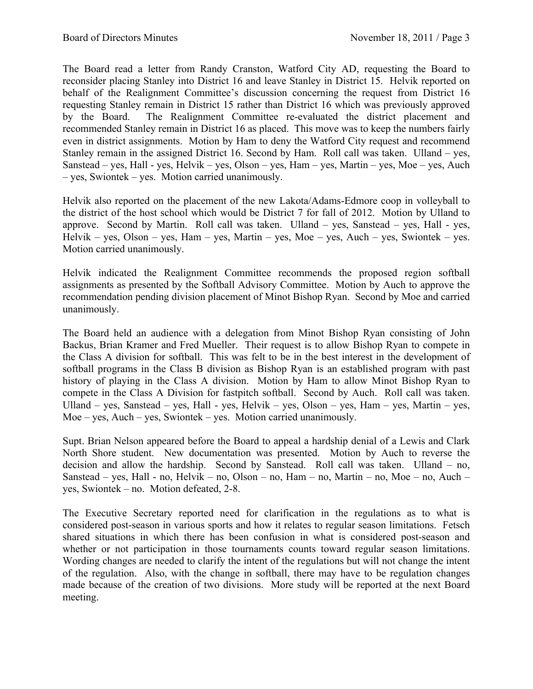The Board read a letter from Randy Cranston, Watford City AD, requesting the Board to reconsider placing Stanley into District 16 and leave Stanley in District 15. Helvik reported on behalf of the Realignment Committee's discussion concerning the request from District 16 requesting Stanley remain in District 15 rather than District 16 which was previously approved by the Board. The Realignment Committee re-evaluated the district placement and recommended Stanley remain in District 16 as placed. This move was to keep the numbers fairly even in district assignments. Motion by Ham to deny the Watford City request and recommend Stanley remain in the assigned District 16. Second by Ham. Roll call was taken. Ulland – yes, Sanstead – yes, Hall - yes, Helvik – yes, Olson – yes, Ham – yes, Martin – yes, Moe – yes, Auch – yes, Swiontek – yes. Motion carried unanimously.

Helvik also reported on the placement of the new Lakota/Adams-Edmore coop in volleyball to the district of the host school which would be District 7 for fall of 2012. Motion by Ulland to approve. Second by Martin. Roll call was taken. Ulland – yes, Sanstead – yes, Hall - yes, Helvik – yes, Olson – yes, Ham – yes, Martin – yes, Moe – yes, Auch – yes, Swiontek – yes. Motion carried unanimously.

Helvik indicated the Realignment Committee recommends the proposed region softball assignments as presented by the Softball Advisory Committee. Motion by Auch to approve the recommendation pending division placement of Minot Bishop Ryan. Second by Moe and carried unanimously.

The Board held an audience with a delegation from Minot Bishop Ryan consisting of John Backus, Brian Kramer and Fred Mueller. Their request is to allow Bishop Ryan to compete in the Class A division for softball. This was felt to be in the best interest in the development of softball programs in the Class B division as Bishop Ryan is an established program with past history of playing in the Class A division. Motion by Ham to allow Minot Bishop Ryan to compete in the Class A Division for fastpitch softball. Second by Auch. Roll call was taken. Ulland – yes, Sanstead – yes, Hall - yes, Helvik – yes, Olson – yes, Ham – yes, Martin – yes, Moe – yes, Auch – yes, Swiontek – yes. Motion carried unanimously.

Supt. Brian Nelson appeared before the Board to appeal a hardship denial of a Lewis and Clark North Shore student. New documentation was presented. Motion by Auch to reverse the decision and allow the hardship. Second by Sanstead. Roll call was taken. Ulland – no, Sanstead – yes, Hall - no, Helvik – no, Olson – no, Ham – no, Martin – no, Moe – no, Auch – yes, Swiontek – no. Motion defeated, 2-8.

The Executive Secretary reported need for clarification in the regulations as to what is considered post-season in various sports and how it relates to regular season limitations. Fetsch shared situations in which there has been confusion in what is considered post-season and whether or not participation in those tournaments counts toward regular season limitations. Wording changes are needed to clarify the intent of the regulations but will not change the intent of the regulation. Also, with the change in softball, there may have to be regulation changes made because of the creation of two divisions. More study will be reported at the next Board meeting.